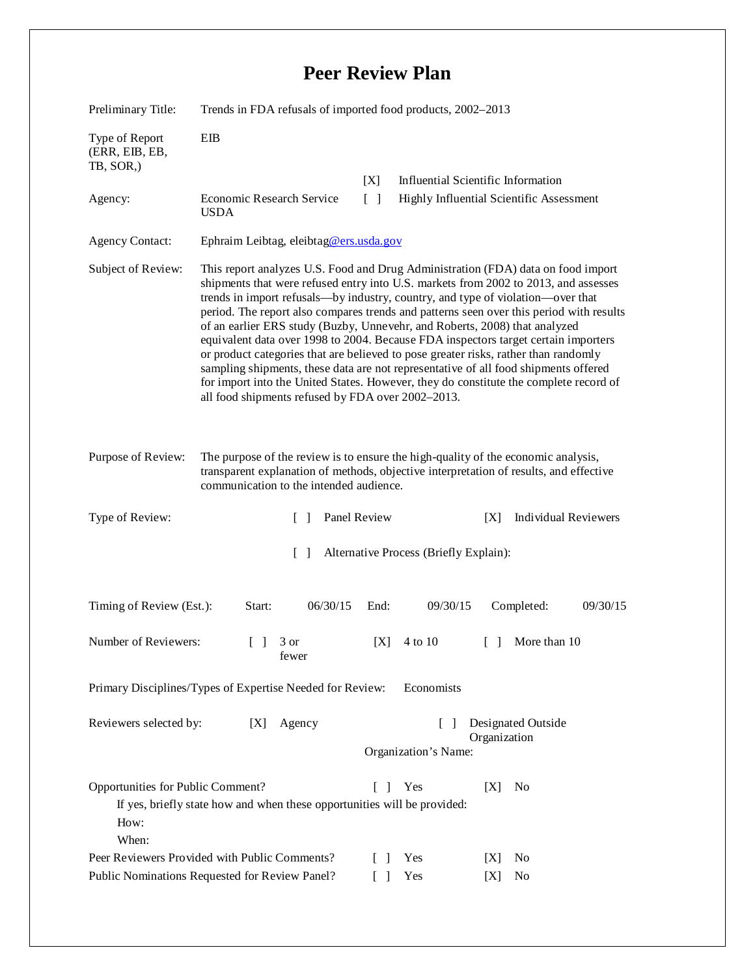## **Peer Review Plan**

| Preliminary Title:                                                                                                                                                                                                                           | Trends in FDA refusals of imported food products, 2002-2013                                                                                                                                                                                                                                                                                                                                                                                                                                                                                                                                                                                                                                                                                                                                                                                           |              |          |                                          |                             |
|----------------------------------------------------------------------------------------------------------------------------------------------------------------------------------------------------------------------------------------------|-------------------------------------------------------------------------------------------------------------------------------------------------------------------------------------------------------------------------------------------------------------------------------------------------------------------------------------------------------------------------------------------------------------------------------------------------------------------------------------------------------------------------------------------------------------------------------------------------------------------------------------------------------------------------------------------------------------------------------------------------------------------------------------------------------------------------------------------------------|--------------|----------|------------------------------------------|-----------------------------|
| Type of Report<br>(ERR, EIB, EB,<br>TB, SOR,)                                                                                                                                                                                                | EIB                                                                                                                                                                                                                                                                                                                                                                                                                                                                                                                                                                                                                                                                                                                                                                                                                                                   |              |          |                                          |                             |
|                                                                                                                                                                                                                                              |                                                                                                                                                                                                                                                                                                                                                                                                                                                                                                                                                                                                                                                                                                                                                                                                                                                       | [X]          |          | Influential Scientific Information       |                             |
| Agency:                                                                                                                                                                                                                                      | Economic Research Service<br><b>USDA</b>                                                                                                                                                                                                                                                                                                                                                                                                                                                                                                                                                                                                                                                                                                                                                                                                              | $[\ ]$       |          | Highly Influential Scientific Assessment |                             |
| <b>Agency Contact:</b>                                                                                                                                                                                                                       | Ephraim Leibtag, eleibtag@ers.usda.gov                                                                                                                                                                                                                                                                                                                                                                                                                                                                                                                                                                                                                                                                                                                                                                                                                |              |          |                                          |                             |
| Subject of Review:                                                                                                                                                                                                                           | This report analyzes U.S. Food and Drug Administration (FDA) data on food import<br>shipments that were refused entry into U.S. markets from 2002 to 2013, and assesses<br>trends in import refusals—by industry, country, and type of violation—over that<br>period. The report also compares trends and patterns seen over this period with results<br>of an earlier ERS study (Buzby, Unnevehr, and Roberts, 2008) that analyzed<br>equivalent data over 1998 to 2004. Because FDA inspectors target certain importers<br>or product categories that are believed to pose greater risks, rather than randomly<br>sampling shipments, these data are not representative of all food shipments offered<br>for import into the United States. However, they do constitute the complete record of<br>all food shipments refused by FDA over 2002-2013. |              |          |                                          |                             |
| Purpose of Review:<br>The purpose of the review is to ensure the high-quality of the economic analysis,<br>transparent explanation of methods, objective interpretation of results, and effective<br>communication to the intended audience. |                                                                                                                                                                                                                                                                                                                                                                                                                                                                                                                                                                                                                                                                                                                                                                                                                                                       |              |          |                                          |                             |
| Type of Review:                                                                                                                                                                                                                              | $\Box$                                                                                                                                                                                                                                                                                                                                                                                                                                                                                                                                                                                                                                                                                                                                                                                                                                                | Panel Review |          | [X]                                      | <b>Individual Reviewers</b> |
| $\Box$<br>Alternative Process (Briefly Explain):                                                                                                                                                                                             |                                                                                                                                                                                                                                                                                                                                                                                                                                                                                                                                                                                                                                                                                                                                                                                                                                                       |              |          |                                          |                             |
| Timing of Review (Est.):                                                                                                                                                                                                                     | 06/30/15<br>Start:                                                                                                                                                                                                                                                                                                                                                                                                                                                                                                                                                                                                                                                                                                                                                                                                                                    | End:         | 09/30/15 | Completed:                               | 09/30/15                    |
| Number of Reviewers:<br>More than 10<br>$\begin{bmatrix} 1 & 3 \end{bmatrix}$<br>[X]<br>4 to 10<br>fewer                                                                                                                                     |                                                                                                                                                                                                                                                                                                                                                                                                                                                                                                                                                                                                                                                                                                                                                                                                                                                       |              |          |                                          |                             |
| Primary Disciplines/Types of Expertise Needed for Review:<br>Economists                                                                                                                                                                      |                                                                                                                                                                                                                                                                                                                                                                                                                                                                                                                                                                                                                                                                                                                                                                                                                                                       |              |          |                                          |                             |
| Reviewers selected by:<br>Designated Outside<br>Agency<br>[X]<br>$\lceil \rceil$<br>Organization<br>Organization's Name:                                                                                                                     |                                                                                                                                                                                                                                                                                                                                                                                                                                                                                                                                                                                                                                                                                                                                                                                                                                                       |              |          |                                          |                             |
| Opportunities for Public Comment?<br>How:<br>When:                                                                                                                                                                                           | If yes, briefly state how and when these opportunities will be provided:                                                                                                                                                                                                                                                                                                                                                                                                                                                                                                                                                                                                                                                                                                                                                                              | $\mathbf{1}$ | Yes      | [X]<br>N <sub>0</sub>                    |                             |
|                                                                                                                                                                                                                                              |                                                                                                                                                                                                                                                                                                                                                                                                                                                                                                                                                                                                                                                                                                                                                                                                                                                       |              |          |                                          |                             |
|                                                                                                                                                                                                                                              | Peer Reviewers Provided with Public Comments?                                                                                                                                                                                                                                                                                                                                                                                                                                                                                                                                                                                                                                                                                                                                                                                                         | $\Box$       | Yes      | N <sub>0</sub><br>[X]                    |                             |